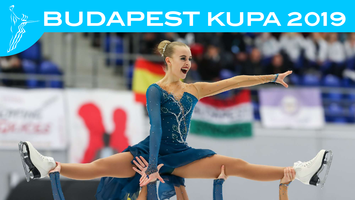# **BUDAPEST KUPA 2019**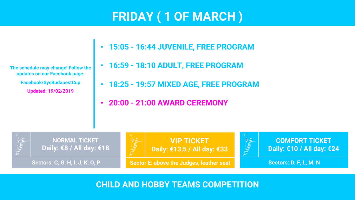# **FRIDAY ( 1 OF MARCH )**

**The schedule may change! Follow the updates on our Facebook page: Facebook/SysBudapestCup Updated: 19/02/2019**

- **15:05 - 16:44 JUVENILE, FREE PROGRAM**
- **16:59 - 18:10 ADULT, FREE PROGRAM**
- **18:25 - 19:57 MIXED AGE, FREE PROGRAM**
- **20:00 - 21:00 AWARD CEREMONY**



**CHILD AND HOBBY TEAMS COMPETITION**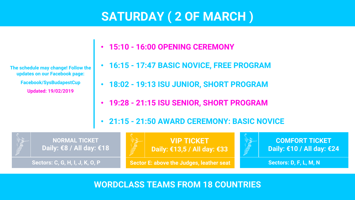## **SATURDAY ( 2 OF MARCH )**

**The schedule may change! Follow the updates on our Facebook page: Facebook/SysBudapestCup Updated: 19/02/2019**

- **15:10 - 16:00 OPENING CEREMONY**
- **16:15 - 17:47 BASIC NOVICE, FREE PROGRAM**
- **18:02 - 19:13 ISU JUNIOR, SHORT PROGRAM**
- **19:28 - 21:15 ISU SENIOR, SHORT PROGRAM**
- **21:15 - 21:50 AWARD CEREMONY: BASIC NOVICE**



**WORDCLASS TEAMS FROM 18 COUNTRIES**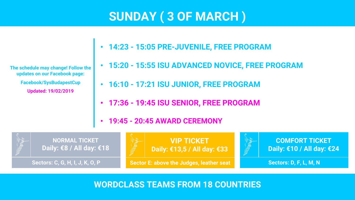# **SUNDAY ( 3 OF MARCH )**

**The schedule may change! Follow the updates on our Facebook page: Facebook/SysBudapestCup Updated: 19/02/2019**

- **14:23 - 15:05 PRE-JUVENILE, FREE PROGRAM**
- **15:20 - 15:55 ISU ADVANCED NOVICE, FREE PROGRAM**
- **16:10 - 17:21 ISU JUNIOR, FREE PROGRAM**
- **17:36 - 19:45 ISU SENIOR, FREE PROGRAM**
- **19:45 - 20:45 AWARD CEREMONY**



**WORDCLASS TEAMS FROM 18 COUNTRIES**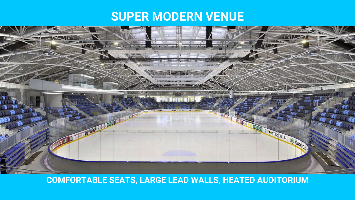#### **SUPER MODERN VENUE**



#### **COMFORTABLE SEATS, LARGE LEAD WALLS, HEATED AUDITORIUM**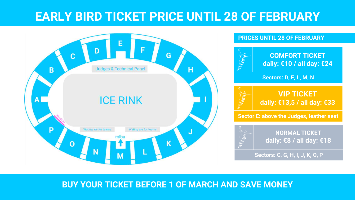### **EARLY BIRD TICKET PRICE UNTIL 28 OF FEBRUARY**



#### **PRICES UNTIL 28 OF FEBRUARY**



**Sectors: D, F, L, M, N**

**VIP TICKET daily: €13,5 / all day: €33**

**Sector E: above the Judges, leather seat**



**NORMAL TICKET daily: €8 / all day: €18**

**Sectors: C, G, H, I, J, K, O, P**

#### **BUY YOUR TICKET BEFORE 1 OF MARCH AND SAVE MONEY**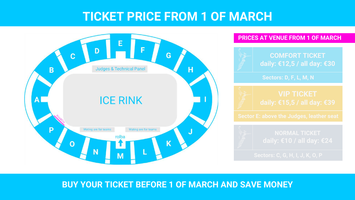### **TICKET PRICE FROM 1 OF MARCH**





#### **BUY YOUR TICKET BEFORE 1 OF MARCH AND SAVE MONEY**